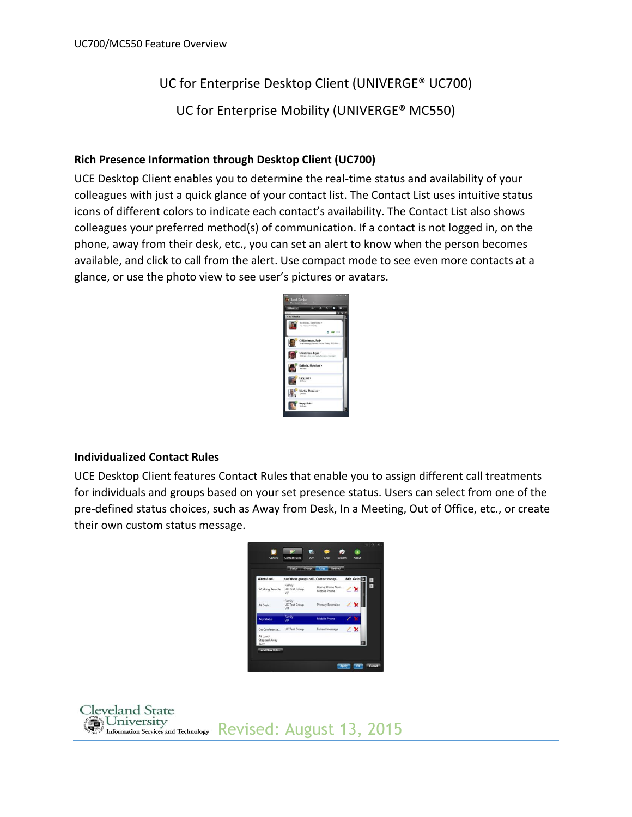# UC for Enterprise Desktop Client (UNIVERGE® UC700)

UC for Enterprise Mobility (UNIVERGE® MC550)

### **Rich Presence Information through Desktop Client (UC700)**

UCE Desktop Client enables you to determine the real-time status and availability of your colleagues with just a quick glance of your contact list. The Contact List uses intuitive status icons of different colors to indicate each contact's availability. The Contact List also shows colleagues your preferred method(s) of communication. If a contact is not logged in, on the phone, away from their desk, etc., you can set an alert to know when the person becomes available, and click to call from the alert. Use compact mode to see even more contacts at a glance, or use the photo view to see user's pictures or avatars.

|             | ۰                                                                   |
|-------------|---------------------------------------------------------------------|
| My Contacts |                                                                     |
|             | Bonneau, Raymond -<br>At Dais (Dr. Stone)                           |
|             | 59H                                                                 |
|             | Chidambaram, Pari-<br>In a Meeting (Planned return: Today, 6:00 PM) |
|             | Christensen, Bryan -<br>At Desk - Are you ready for some Football   |
|             | Kakiychi, Motofumi -<br>At Desk                                     |
|             | Lacy, Jon-<br>nena                                                  |
|             | Martin, Theodore -<br>DRIVE.                                        |
|             | Nupp, Bob -<br>Ar Dealt                                             |

#### **Individualized Contact Rules**

UCE Desktop Client features Contact Rules that enable you to assign different call treatments for individuals and groups based on your set presence status. Users can select from one of the pre-defined status choices, such as Away from Desk, In a Meeting, Out of Office, etc., or create their own custom status message.

|                                         | Status Groups Rules                   | <b>Dedirect</b>                |                          |                 |
|-----------------------------------------|---------------------------------------|--------------------------------|--------------------------|-----------------|
| When I am                               | And these groups call Contact me by   |                                | <b>Edit Delete</b>       | $\vert x \vert$ |
| <b>Working Remote</b>                   | Family<br><b>UC Test Group</b><br>VIP | Home Phone Num<br>Mobile Phone |                          | g               |
| At Desk                                 | Family<br><b>UC Test Group</b><br>VIP | Primary Extension              |                          |                 |
| <b>Any Status</b>                       | Family<br>VIP                         | <b>Mobile Phone</b>            |                          |                 |
| On Conference                           | <b>UC Test Group</b>                  | Instant Message                | $\overline{\phantom{1}}$ |                 |
| At Lunch<br><b>Stepped Away</b><br>Busy |                                       |                                |                          |                 |

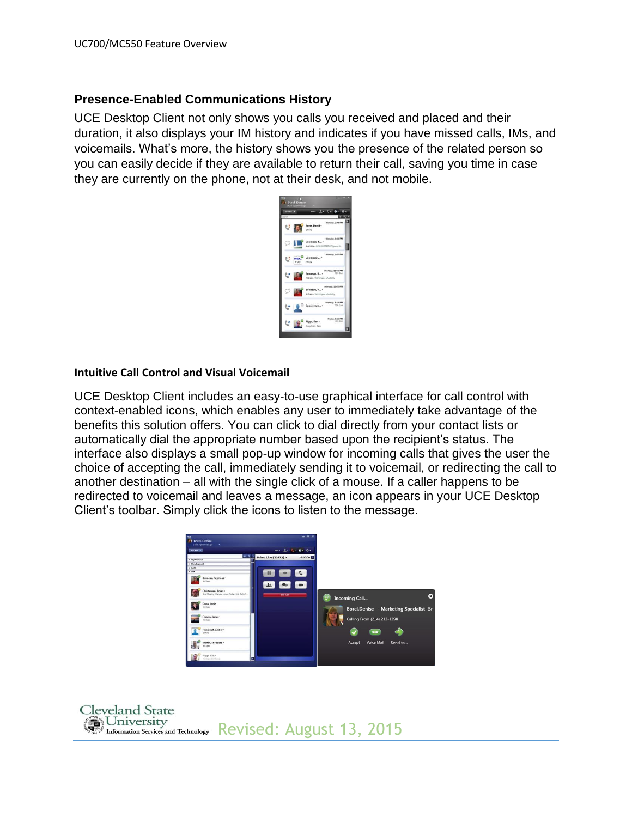## **Presence-Enabled Communications History**

UCE Desktop Client not only shows you calls you received and placed and their duration, it also displays your IM history and indicates if you have missed calls, IMs, and voicemails. What's more, the history shows you the presence of the related person so you can easily decide if they are available to return their call, saving you time in case they are currently on the phone, not at their desk, and not mobile.

| Desk in |            |                                                                                |  |
|---------|------------|--------------------------------------------------------------------------------|--|
|         |            |                                                                                |  |
|         |            | Monday, 2:48 PM<br><b>DAGAY</b><br>Jantz, David -<br>DRine                     |  |
|         |            | Monday, 1:11 PM<br>Coombes, K., .<br>Available - LUISLOSOTECHT (sues) th       |  |
|         | <b>NTA</b> | Monday, 147 PM<br>Coombes (*<br>Office                                         |  |
|         |            | Monday, 11:03 AM<br>Bonneau, R., . 30: 50m<br>At Desk - Working on (Atellilly) |  |
|         |            | Monday, 11:02 AM<br>Bonness, R., -<br>At Dask - Working on uMakilny            |  |
|         |            | Monday, 9:14 AM<br>201.144<br>Conference -                                     |  |
|         |            | Friday, 5:16 PM<br>Riggs, Ken -<br>00k 02m<br>Avay From Desk                   |  |

#### **Intuitive Call Control and Visual Voicemail**

UCE Desktop Client includes an easy-to-use graphical interface for call control with context-enabled icons, which enables any user to immediately take advantage of the benefits this solution offers. You can click to dial directly from your contact lists or automatically dial the appropriate number based upon the recipient's status. The interface also displays a small pop-up window for incoming calls that gives the user the choice of accepting the call, immediately sending it to voicemail, or redirecting the call to another destination – all with the single click of a mouse. If a caller happens to be redirected to voicemail and leaves a message, an icon appears in your UCE Desktop Client's toolbar. Simply click the icons to listen to the message.



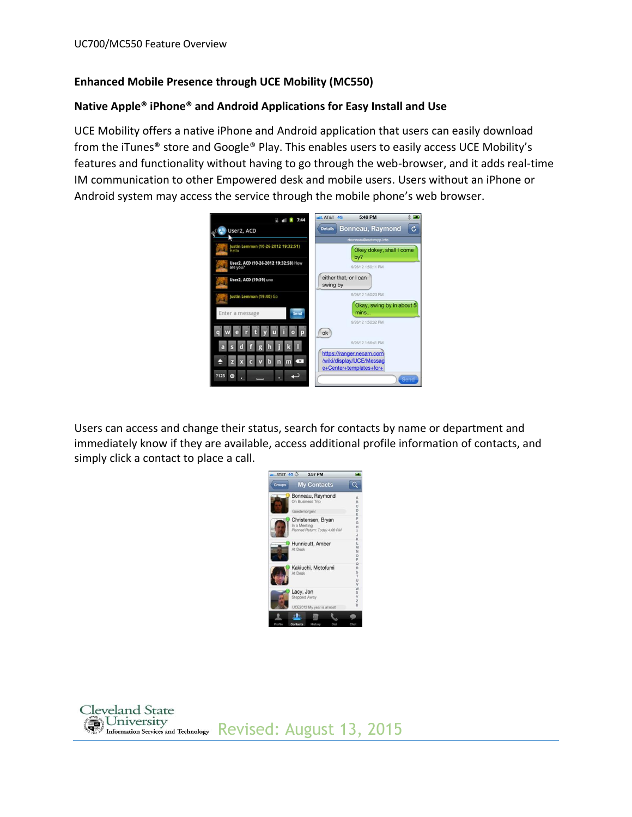## **Enhanced Mobile Presence through UCE Mobility (MC550)**

#### **Native Apple® iPhone® and Android Applications for Easy Install and Use**

UCE Mobility offers a native iPhone and Android application that users can easily download from the iTunes® store and Google® Play. This enables users to easily access UCE Mobility's features and functionality without having to go through the web-browser, and it adds real-time IM communication to other Empowered desk and mobile users. Users without an iPhone or Android system may access the service through the mobile phone's web browser.



Users can access and change their status, search for contacts by name or department and immediately know if they are available, access additional profile information of contacts, and simply click a contact to place a call.



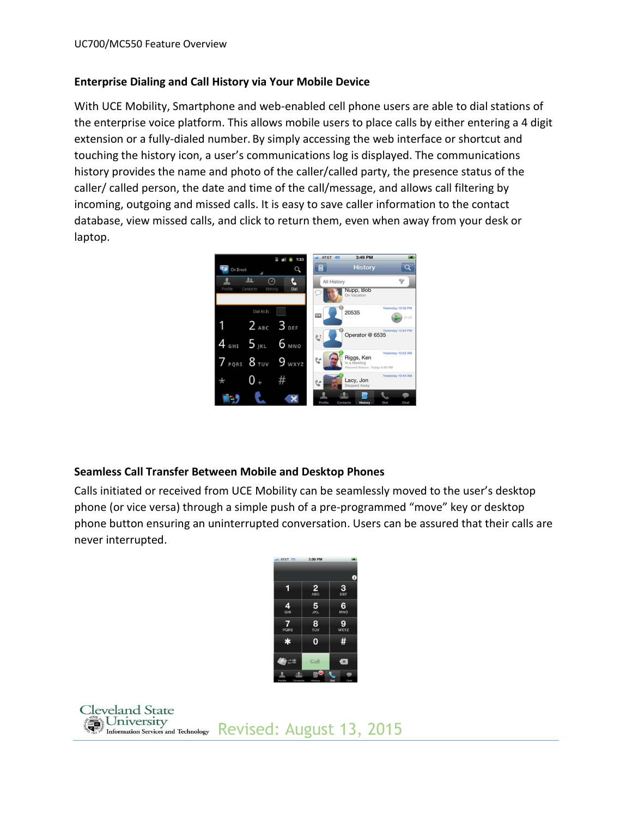#### **Enterprise Dialing and Call History via Your Mobile Device**

With UCE Mobility, Smartphone and web-enabled cell phone users are able to dial stations of the enterprise voice platform. This allows mobile users to place calls by either entering a 4 digit extension or a fully-dialed number. By simply accessing the web interface or shortcut and touching the history icon, a user's communications log is displayed. The communications history provides the name and photo of the caller/called party, the presence status of the caller/ called person, the date and time of the call/message, and allows call filtering by incoming, outgoing and missed calls. It is easy to save caller information to the contact database, view missed calls, and click to return them, even when away from your desk or laptop.



## **Seamless Call Transfer Between Mobile and Desktop Phones**

Calls initiated or received from UCE Mobility can be seamlessly moved to the user's desktop phone (or vice versa) through a simple push of a pre-programmed "move" key or desktop phone button ensuring an uninterrupted conversation. Users can be assured that their calls are never interrupted.

| utl. AT&T 3G           | 3:30 PM                |                  |
|------------------------|------------------------|------------------|
|                        |                        | 0                |
|                        | $\frac{2}{\text{ABC}}$ | 3 <sub>DEF</sub> |
| 4<br>GHI               | $\frac{5}{25}$         | 6<br><b>MNO</b>  |
| $\overline{7}$<br>PQRS | $\frac{8}{\tau_{UV}}$  | 9<br><b>WXYZ</b> |
| $\ast$                 | 0                      | #                |
| 오보                     | Call                   | $\mathbf{x}$     |
|                        | O                      |                  |